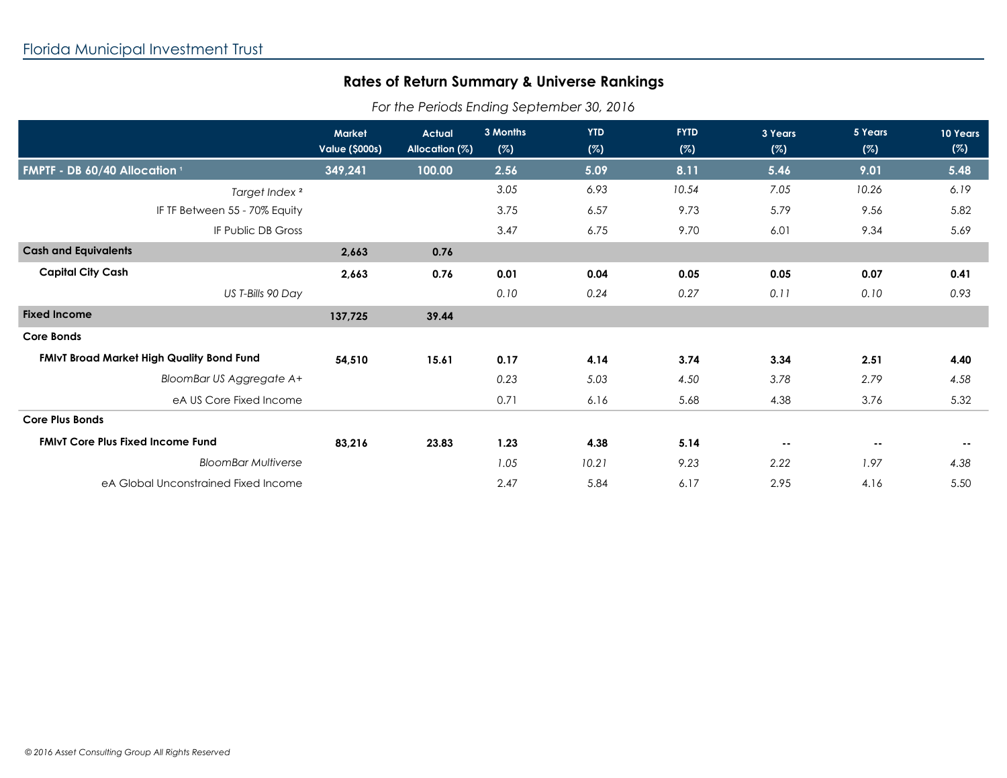## **Rates of Return Summary & Universe Rankings**

*For the Periods Ending September 30, 2016*

|                                                  | <b>Market</b><br><b>Value (\$000s)</b> | <b>Actual</b><br>Allocation (%) | 3 Months<br>(%) | <b>YTD</b><br>(%) | <b>FYTD</b><br>(%) | 3 Years<br>(%) | 5 Years<br>(%) | 10 Years<br>(%) |
|--------------------------------------------------|----------------------------------------|---------------------------------|-----------------|-------------------|--------------------|----------------|----------------|-----------------|
| FMPTF - DB 60/40 Allocation <sup>1</sup>         | 349,241                                | 100.00                          | 2.56            | 5.09              | 8.11               | 5.46           | 9.01           | 5.48            |
| Target Index <sup>2</sup>                        |                                        |                                 | 3.05            | 6.93              | 10.54              | 7.05           | 10.26          | 6.19            |
| IF TF Between 55 - 70% Equity                    |                                        |                                 | 3.75            | 6.57              | 9.73               | 5.79           | 9.56           | 5.82            |
| IF Public DB Gross                               |                                        |                                 | 3.47            | 6.75              | 9.70               | 6.01           | 9.34           | 5.69            |
| <b>Cash and Equivalents</b>                      | 2,663                                  | 0.76                            |                 |                   |                    |                |                |                 |
| <b>Capital City Cash</b>                         | 2,663                                  | 0.76                            | 0.01            | 0.04              | 0.05               | 0.05           | 0.07           | 0.41            |
| US T-Bills 90 Day                                |                                        |                                 | 0.10            | 0.24              | 0.27               | 0.11           | 0.10           | 0.93            |
| <b>Fixed Income</b>                              | 137,725                                | 39.44                           |                 |                   |                    |                |                |                 |
| <b>Core Bonds</b>                                |                                        |                                 |                 |                   |                    |                |                |                 |
| <b>FMIvT Broad Market High Quality Bond Fund</b> | 54,510                                 | 15.61                           | 0.17            | 4.14              | 3.74               | 3.34           | 2.51           | 4.40            |
| BloomBar US Aggregate A+                         |                                        |                                 | 0.23            | 5.03              | 4.50               | 3.78           | 2.79           | 4.58            |
| eA US Core Fixed Income                          |                                        |                                 | 0.71            | 6.16              | 5.68               | 4.38           | 3.76           | 5.32            |
| <b>Core Plus Bonds</b>                           |                                        |                                 |                 |                   |                    |                |                |                 |
| <b>FMIVT Core Plus Fixed Income Fund</b>         | 83,216                                 | 23.83                           | 1.23            | 4.38              | 5.14               | $\sim$ $-$     | $\sim$ $-$     | $\sim$ $-$      |
| <b>BloomBar Multiverse</b>                       |                                        |                                 | 1.05            | 10.21             | 9.23               | 2.22           | 1.97           | 4.38            |
| eA Global Unconstrained Fixed Income             |                                        |                                 | 2.47            | 5.84              | 6.17               | 2.95           | 4.16           | 5.50            |